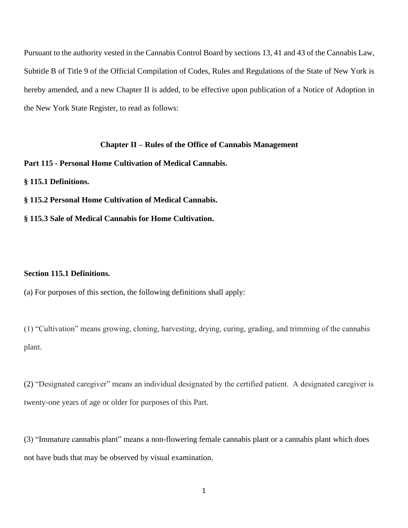Pursuant to the authority vested in the Cannabis Control Board by sections 13, 41 and 43 of the Cannabis Law, Subtitle B of Title 9 of the Official Compilation of Codes, Rules and Regulations of the State of New York is hereby amended, and a new Chapter II is added, to be effective upon publication of a Notice of Adoption in the New York State Register, to read as follows:

## **Chapter II – Rules of the Office of Cannabis Management**

**Part 115 - Personal Home Cultivation of Medical Cannabis.**

**§ 115.1 Definitions.**

**§ 115.2 Personal Home Cultivation of Medical Cannabis.**

**§ 115.3 Sale of Medical Cannabis for Home Cultivation.**

## **Section 115.1 Definitions.**

(a) For purposes of this section, the following definitions shall apply:

(1) "Cultivation" means growing, cloning, harvesting, drying, curing, grading, and trimming of the cannabis plant.

(2) "Designated caregiver" means an individual designated by the certified patient. A designated caregiver is twenty-one years of age or older for purposes of this Part.

(3) "Immature cannabis plant" means a non-flowering female cannabis plant or a cannabis plant which does not have buds that may be observed by visual examination.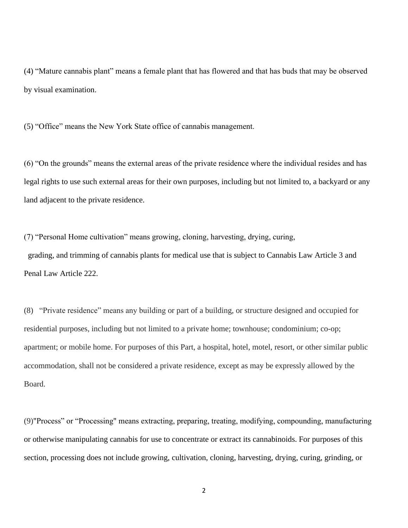(4) "Mature cannabis plant" means a female plant that has flowered and that has buds that may be observed by visual examination.

(5) "Office" means the New York State office of cannabis management.

(6) "On the grounds" means the external areas of the private residence where the individual resides and has legal rights to use such external areas for their own purposes, including but not limited to, a backyard or any land adjacent to the private residence.

(7) "Personal Home cultivation" means growing, cloning, harvesting, drying, curing, grading, and trimming of cannabis plants for medical use that is subject to Cannabis Law Article 3 and Penal Law Article 222.

(8) "Private residence" means any building or part of a building, or structure designed and occupied for residential purposes, including but not limited to a private home; townhouse; condominium; co-op; apartment; or mobile home. For purposes of this Part, a hospital, hotel, motel, resort, or other similar public accommodation, shall not be considered a private residence, except as may be expressly allowed by the Board.

(9)"Process" or "Processing" means extracting, preparing, treating, modifying, compounding, manufacturing or otherwise manipulating cannabis for use to concentrate or extract its cannabinoids. For purposes of this section, processing does not include growing, cultivation, cloning, harvesting, drying, curing, grinding, or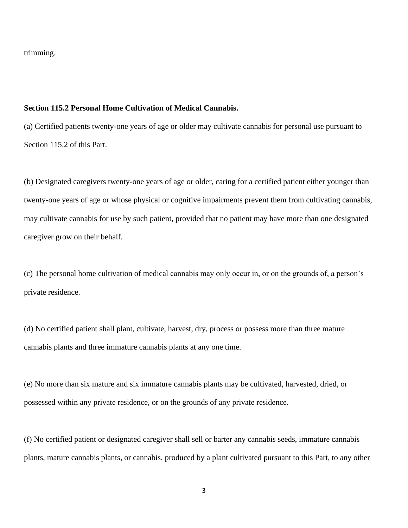trimming.

## **Section 115.2 Personal Home Cultivation of Medical Cannabis.**

(a) Certified patients twenty-one years of age or older may cultivate cannabis for personal use pursuant to Section 115.2 of this Part.

(b) Designated caregivers twenty-one years of age or older, caring for a certified patient either younger than twenty-one years of age or whose physical or cognitive impairments prevent them from cultivating cannabis, may cultivate cannabis for use by such patient, provided that no patient may have more than one designated caregiver grow on their behalf.

(c) The personal home cultivation of medical cannabis may only occur in, or on the grounds of, a person's private residence.

(d) No certified patient shall plant, cultivate, harvest, dry, process or possess more than three mature cannabis plants and three immature cannabis plants at any one time.

(e) No more than six mature and six immature cannabis plants may be cultivated, harvested, dried, or possessed within any private residence, or on the grounds of any private residence.

(f) No certified patient or designated caregiver shall sell or barter any cannabis seeds, immature cannabis plants, mature cannabis plants, or cannabis, produced by a plant cultivated pursuant to this Part, to any other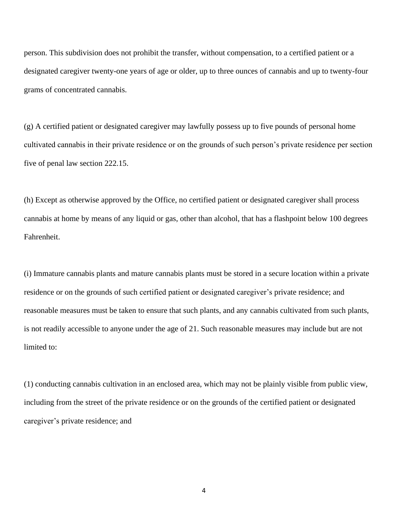person. This subdivision does not prohibit the transfer, without compensation, to a certified patient or a designated caregiver twenty-one years of age or older, up to three ounces of cannabis and up to twenty-four grams of concentrated cannabis.

(g) A certified patient or designated caregiver may lawfully possess up to five pounds of personal home cultivated cannabis in their private residence or on the grounds of such person's private residence per section five of penal law section 222.15.

(h) Except as otherwise approved by the Office, no certified patient or designated caregiver shall process cannabis at home by means of any liquid or gas, other than alcohol, that has a flashpoint below 100 degrees Fahrenheit.

(i) Immature cannabis plants and mature cannabis plants must be stored in a secure location within a private residence or on the grounds of such certified patient or designated caregiver's private residence; and reasonable measures must be taken to ensure that such plants, and any cannabis cultivated from such plants, is not readily accessible to anyone under the age of 21. Such reasonable measures may include but are not limited to:

(1) conducting cannabis cultivation in an enclosed area, which may not be plainly visible from public view, including from the street of the private residence or on the grounds of the certified patient or designated caregiver's private residence; and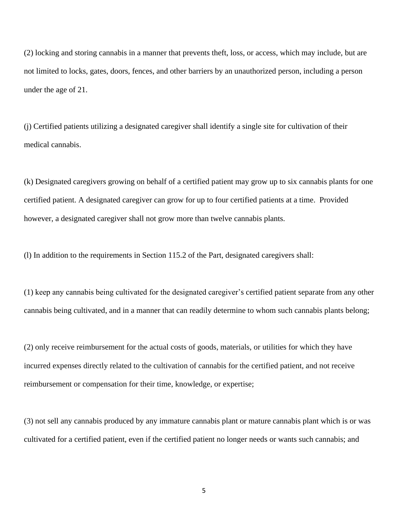(2) locking and storing cannabis in a manner that prevents theft, loss, or access, which may include, but are not limited to locks, gates, doors, fences, and other barriers by an unauthorized person, including a person under the age of 21.

(j) Certified patients utilizing a designated caregiver shall identify a single site for cultivation of their medical cannabis.

(k) Designated caregivers growing on behalf of a certified patient may grow up to six cannabis plants for one certified patient. A designated caregiver can grow for up to four certified patients at a time. Provided however, a designated caregiver shall not grow more than twelve cannabis plants.

(l) In addition to the requirements in Section 115.2 of the Part, designated caregivers shall:

(1) keep any cannabis being cultivated for the designated caregiver's certified patient separate from any other cannabis being cultivated, and in a manner that can readily determine to whom such cannabis plants belong;

(2) only receive reimbursement for the actual costs of goods, materials, or utilities for which they have incurred expenses directly related to the cultivation of cannabis for the certified patient, and not receive reimbursement or compensation for their time, knowledge, or expertise;

(3) not sell any cannabis produced by any immature cannabis plant or mature cannabis plant which is or was cultivated for a certified patient, even if the certified patient no longer needs or wants such cannabis; and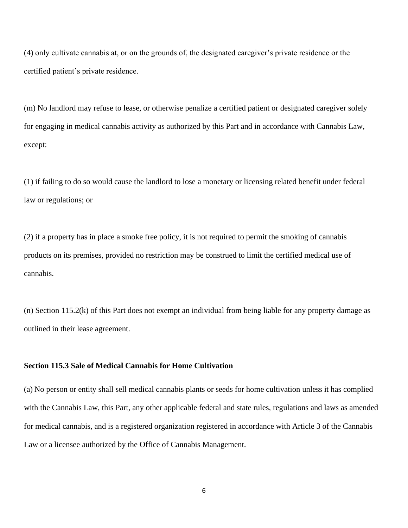(4) only cultivate cannabis at, or on the grounds of, the designated caregiver's private residence or the certified patient's private residence.

(m) No landlord may refuse to lease, or otherwise penalize a certified patient or designated caregiver solely for engaging in medical cannabis activity as authorized by this Part and in accordance with Cannabis Law, except:

(1) if failing to do so would cause the landlord to lose a monetary or licensing related benefit under federal law or regulations; or

(2) if a property has in place a smoke free policy, it is not required to permit the smoking of cannabis products on its premises, provided no restriction may be construed to limit the certified medical use of cannabis.

(n) Section 115.2(k) of this Part does not exempt an individual from being liable for any property damage as outlined in their lease agreement.

## **Section 115.3 Sale of Medical Cannabis for Home Cultivation**

(a) No person or entity shall sell medical cannabis plants or seeds for home cultivation unless it has complied with the Cannabis Law, this Part, any other applicable federal and state rules, regulations and laws as amended for medical cannabis, and is a registered organization registered in accordance with Article 3 of the Cannabis Law or a licensee authorized by the Office of Cannabis Management.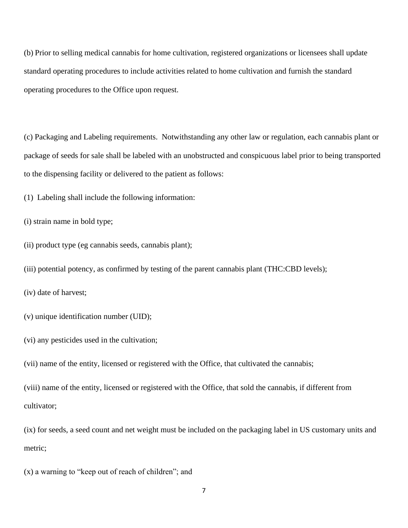(b) Prior to selling medical cannabis for home cultivation, registered organizations or licensees shall update standard operating procedures to include activities related to home cultivation and furnish the standard operating procedures to the Office upon request.

(c) Packaging and Labeling requirements. Notwithstanding any other law or regulation, each cannabis plant or package of seeds for sale shall be labeled with an unobstructed and conspicuous label prior to being transported to the dispensing facility or delivered to the patient as follows:

(1) Labeling shall include the following information:

(i) strain name in bold type;

(ii) product type (eg cannabis seeds, cannabis plant);

(iii) potential potency, as confirmed by testing of the parent cannabis plant (THC:CBD levels);

(iv) date of harvest;

(v) unique identification number (UID);

(vi) any pesticides used in the cultivation;

(vii) name of the entity, licensed or registered with the Office, that cultivated the cannabis;

(viii) name of the entity, licensed or registered with the Office, that sold the cannabis, if different from cultivator;

(ix) for seeds, a seed count and net weight must be included on the packaging label in US customary units and metric;

(x) a warning to "keep out of reach of children"; and

7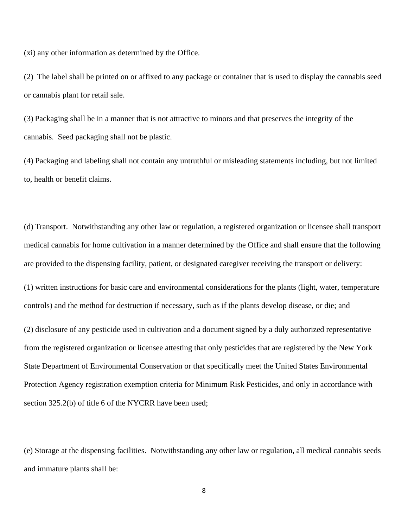(xi) any other information as determined by the Office.

(2) The label shall be printed on or affixed to any package or container that is used to display the cannabis seed or cannabis plant for retail sale.

(3) Packaging shall be in a manner that is not attractive to minors and that preserves the integrity of the cannabis. Seed packaging shall not be plastic.

(4) Packaging and labeling shall not contain any untruthful or misleading statements including, but not limited to, health or benefit claims.

(d) Transport. Notwithstanding any other law or regulation, a registered organization or licensee shall transport medical cannabis for home cultivation in a manner determined by the Office and shall ensure that the following are provided to the dispensing facility, patient, or designated caregiver receiving the transport or delivery:

(1) written instructions for basic care and environmental considerations for the plants (light, water, temperature controls) and the method for destruction if necessary, such as if the plants develop disease, or die; and

(2) disclosure of any pesticide used in cultivation and a document signed by a duly authorized representative from the registered organization or licensee attesting that only pesticides that are registered by the New York State Department of Environmental Conservation or that specifically meet the United States Environmental Protection Agency registration exemption criteria for Minimum Risk Pesticides, and only in accordance with section 325.2(b) of title 6 of the NYCRR have been used;

(e) Storage at the dispensing facilities. Notwithstanding any other law or regulation, all medical cannabis seeds and immature plants shall be: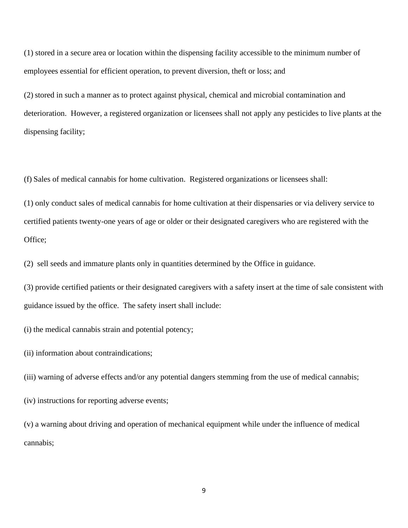(1) stored in a secure area or location within the dispensing facility accessible to the minimum number of employees essential for efficient operation, to prevent diversion, theft or loss; and

(2) stored in such a manner as to protect against physical, chemical and microbial contamination and deterioration. However, a registered organization or licensees shall not apply any pesticides to live plants at the dispensing facility;

(f) Sales of medical cannabis for home cultivation. Registered organizations or licensees shall:

(1) only conduct sales of medical cannabis for home cultivation at their dispensaries or via delivery service to certified patients twenty-one years of age or older or their designated caregivers who are registered with the Office;

(2) sell seeds and immature plants only in quantities determined by the Office in guidance.

(3) provide certified patients or their designated caregivers with a safety insert at the time of sale consistent with guidance issued by the office. The safety insert shall include:

(i) the medical cannabis strain and potential potency;

(ii) information about contraindications;

(iii) warning of adverse effects and/or any potential dangers stemming from the use of medical cannabis;

(iv) instructions for reporting adverse events;

(v) a warning about driving and operation of mechanical equipment while under the influence of medical cannabis;

9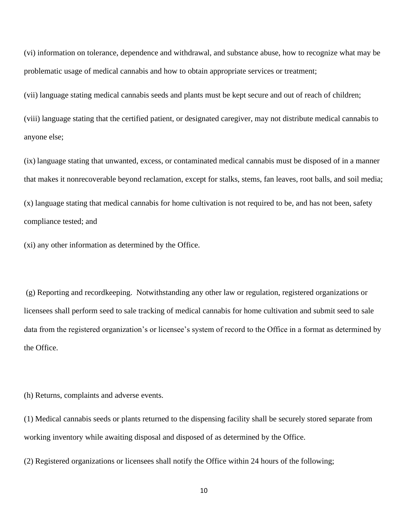(vi) information on tolerance, dependence and withdrawal, and substance abuse, how to recognize what may be problematic usage of medical cannabis and how to obtain appropriate services or treatment;

(vii) language stating medical cannabis seeds and plants must be kept secure and out of reach of children;

(viii) language stating that the certified patient, or designated caregiver, may not distribute medical cannabis to anyone else;

(ix) language stating that unwanted, excess, or contaminated medical cannabis must be disposed of in a manner that makes it nonrecoverable beyond reclamation, except for stalks, stems, fan leaves, root balls, and soil media; (x) language stating that medical cannabis for home cultivation is not required to be, and has not been, safety compliance tested; and

(xi) any other information as determined by the Office.

(g) Reporting and recordkeeping. Notwithstanding any other law or regulation, registered organizations or licensees shall perform seed to sale tracking of medical cannabis for home cultivation and submit seed to sale data from the registered organization's or licensee's system of record to the Office in a format as determined by the Office.

(h) Returns, complaints and adverse events.

(1) Medical cannabis seeds or plants returned to the dispensing facility shall be securely stored separate from working inventory while awaiting disposal and disposed of as determined by the Office.

(2) Registered organizations or licensees shall notify the Office within 24 hours of the following;

10